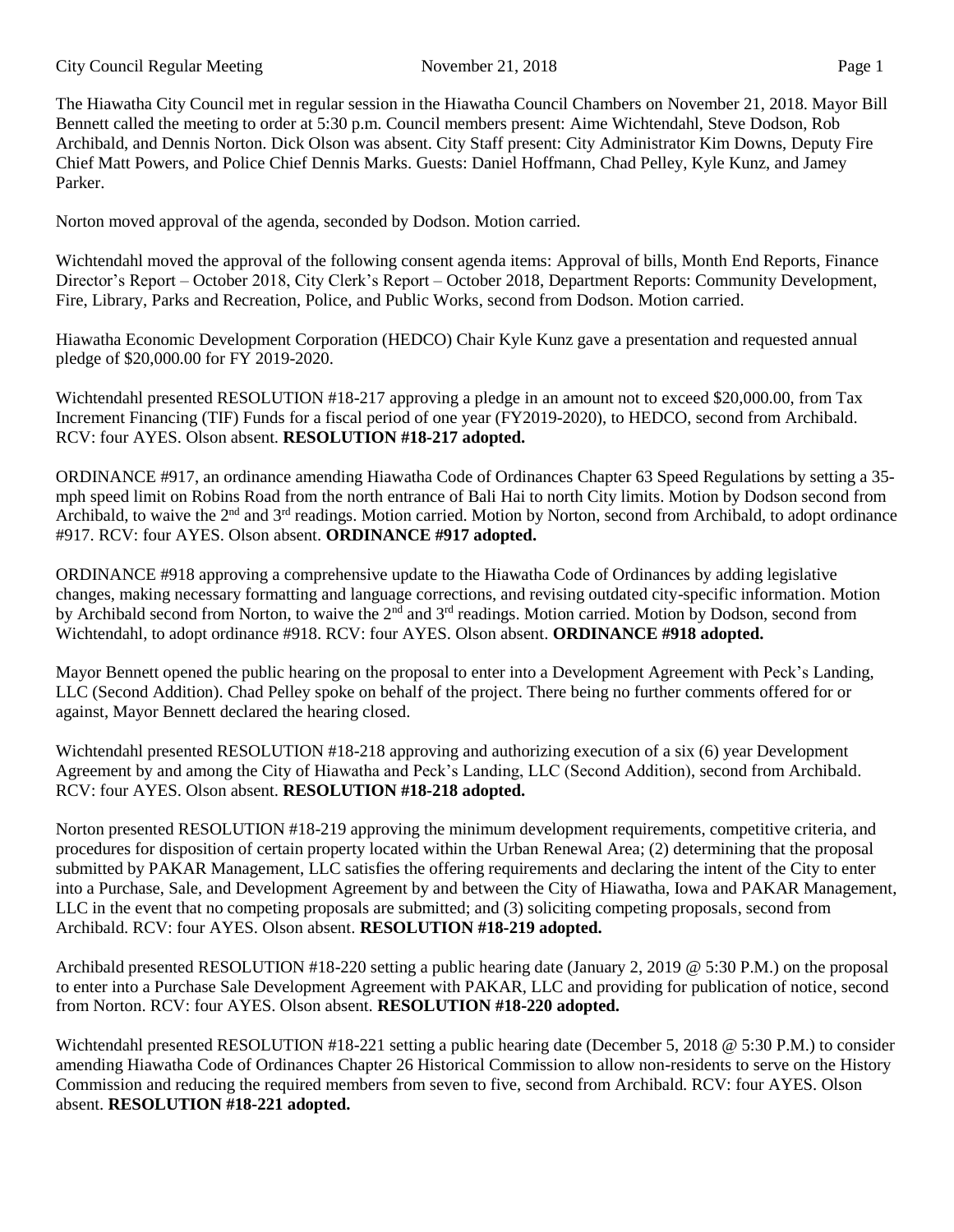The Hiawatha City Council met in regular session in the Hiawatha Council Chambers on November 21, 2018. Mayor Bill Bennett called the meeting to order at 5:30 p.m. Council members present: Aime Wichtendahl, Steve Dodson, Rob Archibald, and Dennis Norton. Dick Olson was absent. City Staff present: City Administrator Kim Downs, Deputy Fire Chief Matt Powers, and Police Chief Dennis Marks. Guests: Daniel Hoffmann, Chad Pelley, Kyle Kunz, and Jamey Parker.

Norton moved approval of the agenda, seconded by Dodson. Motion carried.

Wichtendahl moved the approval of the following consent agenda items: Approval of bills, Month End Reports, Finance Director's Report – October 2018, City Clerk's Report – October 2018, Department Reports: Community Development, Fire, Library, Parks and Recreation, Police, and Public Works, second from Dodson. Motion carried.

Hiawatha Economic Development Corporation (HEDCO) Chair Kyle Kunz gave a presentation and requested annual pledge of \$20,000.00 for FY 2019-2020.

Wichtendahl presented RESOLUTION #18-217 approving a pledge in an amount not to exceed \$20,000.00, from Tax Increment Financing (TIF) Funds for a fiscal period of one year (FY2019-2020), to HEDCO, second from Archibald. RCV: four AYES. Olson absent. **RESOLUTION #18-217 adopted.** 

ORDINANCE #917, an ordinance amending Hiawatha Code of Ordinances Chapter 63 Speed Regulations by setting a 35 mph speed limit on Robins Road from the north entrance of Bali Hai to north City limits. Motion by Dodson second from Archibald, to waive the 2<sup>nd</sup> and 3<sup>rd</sup> readings. Motion carried. Motion by Norton, second from Archibald, to adopt ordinance #917. RCV: four AYES. Olson absent. **ORDINANCE #917 adopted.**

ORDINANCE #918 approving a comprehensive update to the Hiawatha Code of Ordinances by adding legislative changes, making necessary formatting and language corrections, and revising outdated city-specific information. Motion by Archibald second from Norton, to waive the 2<sup>nd</sup> and 3<sup>rd</sup> readings. Motion carried. Motion by Dodson, second from Wichtendahl, to adopt ordinance #918. RCV: four AYES. Olson absent. **ORDINANCE #918 adopted.**

Mayor Bennett opened the public hearing on the proposal to enter into a Development Agreement with Peck's Landing, LLC (Second Addition). Chad Pelley spoke on behalf of the project. There being no further comments offered for or against, Mayor Bennett declared the hearing closed.

Wichtendahl presented RESOLUTION #18-218 approving and authorizing execution of a six (6) year Development Agreement by and among the City of Hiawatha and Peck's Landing, LLC (Second Addition), second from Archibald. RCV: four AYES. Olson absent. **RESOLUTION #18-218 adopted.** 

Norton presented RESOLUTION #18-219 approving the minimum development requirements, competitive criteria, and procedures for disposition of certain property located within the Urban Renewal Area; (2) determining that the proposal submitted by PAKAR Management, LLC satisfies the offering requirements and declaring the intent of the City to enter into a Purchase, Sale, and Development Agreement by and between the City of Hiawatha, Iowa and PAKAR Management, LLC in the event that no competing proposals are submitted; and (3) soliciting competing proposals, second from Archibald. RCV: four AYES. Olson absent. **RESOLUTION #18-219 adopted.** 

Archibald presented RESOLUTION #18-220 setting a public hearing date (January 2, 2019 @ 5:30 P.M.) on the proposal to enter into a Purchase Sale Development Agreement with PAKAR, LLC and providing for publication of notice, second from Norton. RCV: four AYES. Olson absent. **RESOLUTION #18-220 adopted.** 

Wichtendahl presented RESOLUTION #18-221 setting a public hearing date (December 5, 2018 @ 5:30 P.M.) to consider amending Hiawatha Code of Ordinances Chapter 26 Historical Commission to allow non-residents to serve on the History Commission and reducing the required members from seven to five, second from Archibald. RCV: four AYES. Olson absent. **RESOLUTION #18-221 adopted.**